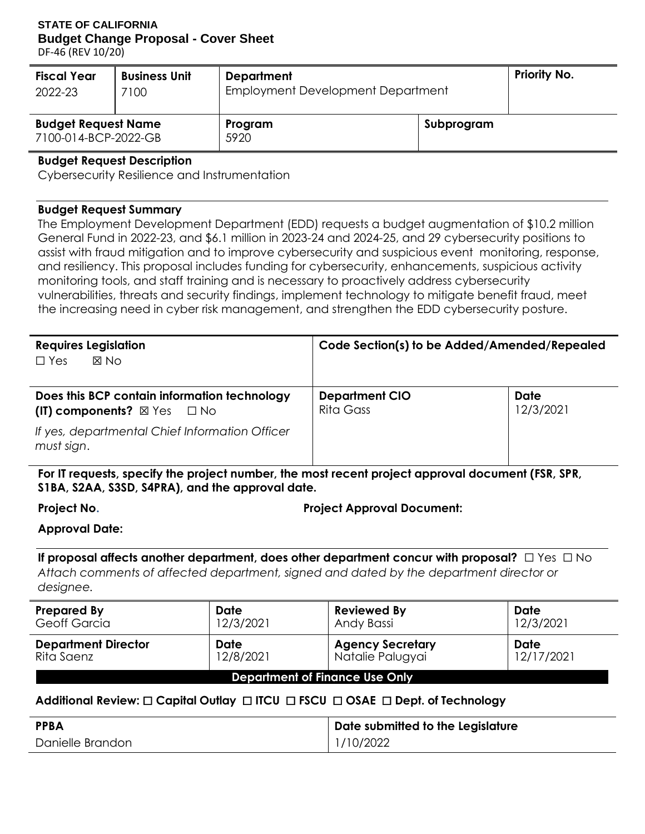#### **STATE OF CALIFORNIA Budget Change Proposal - Cover Sheet**

DF-46 (REV 10/20)

| <b>Fiscal Year</b><br>2022-23                      | <b>Business Unit</b><br>7100 | <b>Department</b><br>Employment Development Department |            | <b>Priority No.</b> |
|----------------------------------------------------|------------------------------|--------------------------------------------------------|------------|---------------------|
| <b>Budget Request Name</b><br>7100-014-BCP-2022-GB |                              | Program<br>5920                                        | Subprogram |                     |
| .                                                  | .<br>$\sim$                  |                                                        |            |                     |

#### **Budget Request Description**

Cybersecurity Resilience and Instrumentation

#### **Budget Request Summary**

 assist with fraud mitigation and to improve cybersecurity and suspicious event monitoring, response, and resiliency. This proposal includes funding for cybersecurity, enhancements, suspicious activity monitoring tools, and staff training and is necessary to proactively address cybersecurity the increasing need in cyber risk management, and strengthen the EDD cybersecurity posture. The Employment Development Department (EDD) requests a budget augmentation of \$10.2 million General Fund in 2022-23, and \$6.1 million in 2023-24 and 2024-25, and 29 cybersecurity positions to vulnerabilities, threats and security findings, implement technology to mitigate benefit fraud, meet

| <b>Requires Legislation</b>                                  | Code Section(s) to be Added/Amended/Repealed |           |  |  |  |
|--------------------------------------------------------------|----------------------------------------------|-----------|--|--|--|
| <b>X No</b><br>$\Box$ Yes                                    |                                              |           |  |  |  |
|                                                              |                                              |           |  |  |  |
| Does this BCP contain information technology                 | <b>Department CIO</b>                        | Date      |  |  |  |
| $(II)$ components? $\boxtimes$ Yes $\Box$ No                 | Rita Gass                                    | 12/3/2021 |  |  |  |
| If yes, departmental Chief Information Officer<br>must sign. |                                              |           |  |  |  |

**For IT requests, specify the project number, the most recent project approval document (FSR, SPR, S1BA, S2AA, S3SD, S4PRA), and the approval date.** 

| Project No. |  |
|-------------|--|
|             |  |

**Project Approval Document:** 

#### **Approval Date:**

 **If proposal affects another department, does other department concur with proposal?** ☐ Yes ☐ No *Attach comments of affected department, signed and dated by the department director or designee.* 

| <b>Prepared By</b>                    | <b>Date</b> | <b>Reviewed By</b>      | Date       |  |  |  |
|---------------------------------------|-------------|-------------------------|------------|--|--|--|
| <b>Geoff Garcia</b>                   | 12/3/2021   | Andy Bassi              | 12/3/2021  |  |  |  |
| <b>Department Director</b>            | Date        | <b>Agency Secretary</b> | Date       |  |  |  |
| Rita Saenz                            | 12/8/2021   | Natalie Palugyai        | 12/17/2021 |  |  |  |
| <b>Department of Finance Use Only</b> |             |                         |            |  |  |  |

#### **Additional Review:** ☐ **Capital Outlay** ☐ **ITCU** ☐ **FSCU** ☐ **OSAE** ☐ **Dept. of Technology**

| <b>PPBA</b>      | Date submitted to the Legislature |
|------------------|-----------------------------------|
| Danielle Brandon | 1/10/2022                         |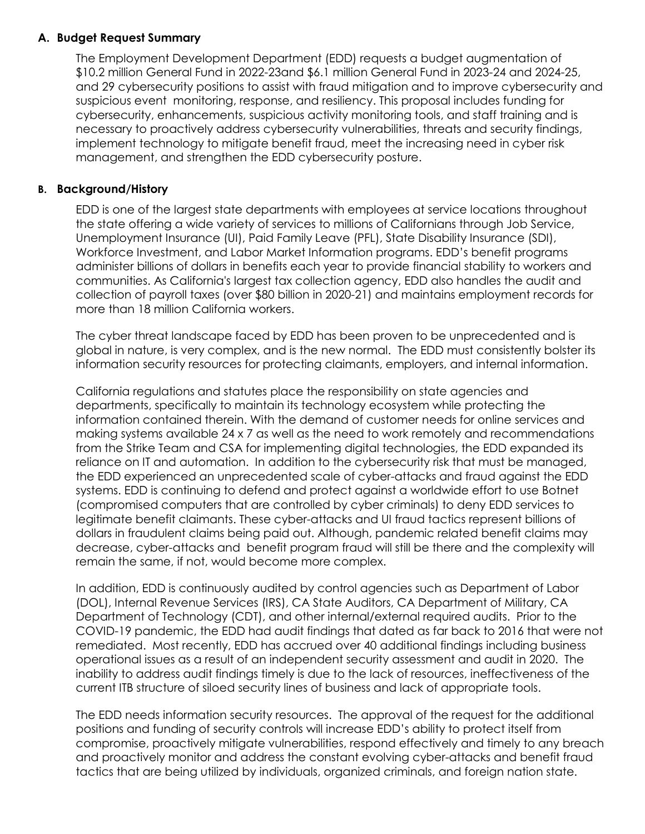#### **A. Budget Request Summary**

 \$10.2 million General Fund in 2022-23and \$6.1 million General Fund in 2023-24 and 2024-25, and 29 cybersecurity positions to assist with fraud mitigation and to improve cybersecurity and suspicious event monitoring, response, and resiliency. This proposal includes funding for cybersecurity, enhancements, suspicious activity monitoring tools, and staff training and is necessary to proactively address cybersecurity vulnerabilities, threats and security findings, implement technology to mitigate benefit fraud, meet the increasing need in cyber risk The Employment Development Department (EDD) requests a budget augmentation of management, and strengthen the EDD cybersecurity posture.

#### **B. Background/History**

 EDD is one of the largest state departments with employees at service locations throughout the state offering a wide variety of services to millions of Californians through Job Service, Workforce Investment, and Labor Market Information programs. EDD's benefit programs administer billions of dollars in benefits each year to provide financial stability to workers and communities. As California's largest tax collection agency, EDD also handles the audit and collection of payroll taxes (over \$80 billion in 2020-21) and maintains employment records for Unemployment Insurance (UI), Paid Family Leave (PFL), State Disability Insurance (SDI), more than 18 million California workers.

 The cyber threat landscape faced by EDD has been proven to be unprecedented and is global in nature, is very complex, and is the new normal. The EDD must consistently bolster its information security resources for protecting claimants, employers, and internal information.

 California regulations and statutes place the responsibility on state agencies and departments, specifically to maintain its technology ecosystem while protecting the information contained therein. With the demand of customer needs for online services and making systems available 24 x 7 as well as the need to work remotely and recommendations from the Strike Team and CSA for implementing digital technologies, the EDD expanded its reliance on IT and automation. In addition to the cybersecurity risk that must be managed, systems. EDD is continuing to defend and protect against a worldwide effort to use Botnet (compromised computers that are controlled by cyber criminals) to deny EDD services to dollars in fraudulent claims being paid out. Although, pandemic related benefit claims may decrease, cyber-attacks and benefit program fraud will still be there and the complexity will remain the same, if not, would become more complex. the EDD experienced an unprecedented scale of cyber-attacks and fraud against the EDD legitimate benefit claimants. These cyber-attacks and UI fraud tactics represent billions of

 In addition, EDD is continuously audited by control agencies such as Department of Labor (DOL), Internal Revenue Services (IRS), CA State Auditors, CA Department of Military, CA Department of Technology (CDT), and other internal/external required audits. Prior to the COVID-19 pandemic, the EDD had audit findings that dated as far back to 2016 that were not remediated. Most recently, EDD has accrued over 40 additional findings including business operational issues as a result of an independent security assessment and audit in 2020. The inability to address audit findings timely is due to the lack of resources, ineffectiveness of the current ITB structure of siloed security lines of business and lack of appropriate tools.

 The EDD needs information security resources. The approval of the request for the additional positions and funding of security controls will increase EDD's ability to protect itself from compromise, proactively mitigate vulnerabilities, respond effectively and timely to any breach and proactively monitor and address the constant evolving cyber-attacks and benefit fraud tactics that are being utilized by individuals, organized criminals, and foreign nation state.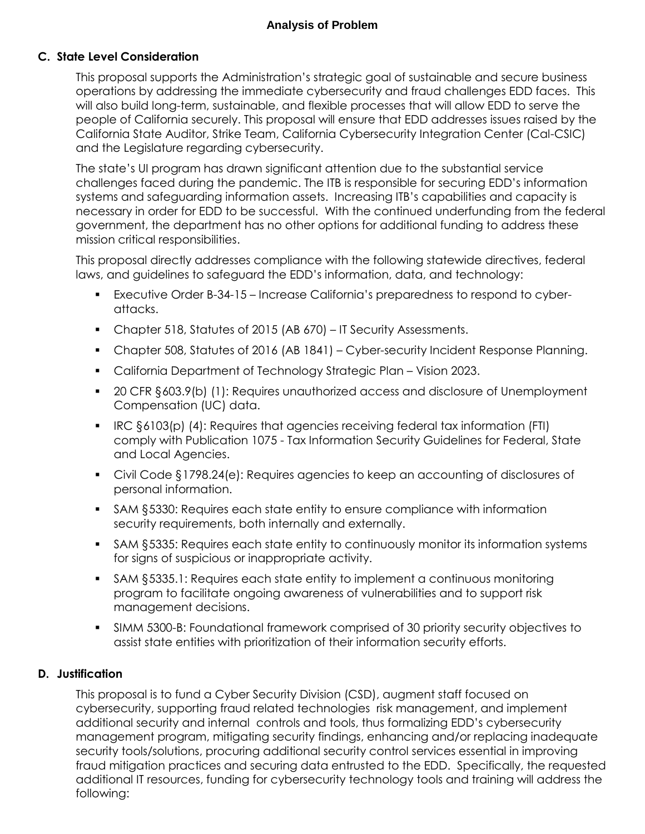#### **C. State Level Consideration**

 This proposal supports the Administration's strategic goal of sustainable and secure business operations by addressing the immediate cybersecurity and fraud challenges EDD faces. This will also build long-term, sustainable, and flexible processes that will allow EDD to serve the people of California securely. This proposal will ensure that EDD addresses issues raised by the California State Auditor, Strike Team, California Cybersecurity Integration Center (Cal-CSIC) and the Legislature regarding cybersecurity.

 The state's UI program has drawn significant attention due to the substantial service challenges faced during the pandemic. The ITB is responsible for securing EDD's information systems and safeguarding information assets. Increasing ITB's capabilities and capacity is necessary in order for EDD to be successful. With the continued underfunding from the federal government, the department has no other options for additional funding to address these mission critical responsibilities.

 This proposal directly addresses compliance with the following statewide directives, federal laws, and guidelines to safeguard the EDD's information, data, and technology:

- Executive Order B-34-15 Increase California's preparedness to respond to cyberattacks.
- Chapter 518, Statutes of 2015 (AB 670) IT Security Assessments.
- Chapter 508, Statutes of 2016 (AB 1841) Cyber-security Incident Response Planning.
- California Department of Technology Strategic Plan Vision 2023.
- 20 CFR §603.9(b) (1): Requires unauthorized access and disclosure of Unemployment Compensation (UC) data.
- IRC §6103(p) (4): Requires that agencies receiving federal tax information (FTI) comply with Publication 1075 - Tax Information Security Guidelines for Federal, State and Local Agencies.
- Civil Code §1798.24(e): Requires agencies to keep an accounting of disclosures of personal information.
- SAM §5330: Requires each state entity to ensure compliance with information security requirements, both internally and externally.
- SAM §5335: Requires each state entity to continuously monitor its information systems for signs of suspicious or inappropriate activity.
- SAM §5335.1: Requires each state entity to implement a continuous monitoring program to facilitate ongoing awareness of vulnerabilities and to support risk management decisions.
- SIMM 5300-B: Foundational framework comprised of 30 priority security objectives to assist state entities with prioritization of their information security efforts.

#### **D. Justification**

 This proposal is to fund a Cyber Security Division (CSD), augment staff focused on cybersecurity, supporting fraud related technologies risk management, and implement additional security and internal controls and tools, thus formalizing EDD's cybersecurity management program, mitigating security findings, enhancing and/or replacing inadequate security tools/solutions, procuring additional security control services essential in improving fraud mitigation practices and securing data entrusted to the EDD. Specifically, the requested additional IT resources, funding for cybersecurity technology tools and training will address the following: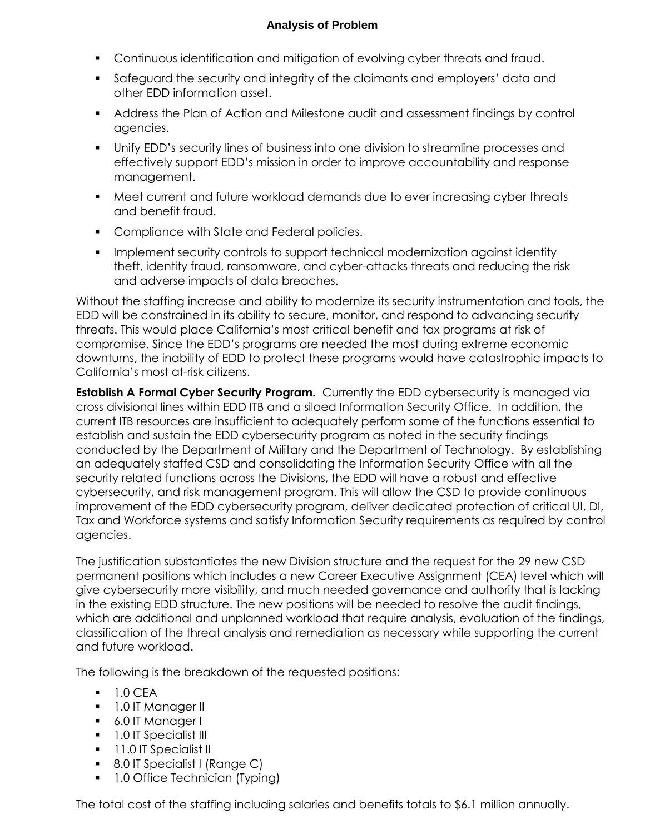- Continuous identification and mitigation of evolving cyber threats and fraud.
- other EDD information asset. Safeguard the security and integrity of the claimants and employers' data and
- Address the Plan of Action and Milestone audit and assessment findings by control agencies.
- Unify EDD's security lines of business into one division to streamline processes and effectively support EDD's mission in order to improve accountability and response management.
- Meet current and future workload demands due to ever increasing cyber threats and benefit fraud.
- **Compliance with State and Federal policies.**
- Implement security controls to support technical modernization against identity theft, identity fraud, ransomware, and cyber-attacks threats and reducing the risk and adverse impacts of data breaches.

 Without the staffing increase and ability to modernize its security instrumentation and tools, the EDD will be constrained in its ability to secure, monitor, and respond to advancing security threats. This would place California's most critical benefit and tax programs at risk of compromise. Since the EDD's programs are needed the most during extreme economic downturns, the inability of EDD to protect these programs would have catastrophic impacts to California's most at-risk citizens.

**Establish A Formal Cyber Security Program.** Currently the EDD cybersecurity is managed via cross divisional lines within EDD ITB and a siloed Information Security Office. In addition, the current ITB resources are insufficient to adequately perform some of the functions essential to conducted by the Department of Military and the Department of Technology. By establishing an adequately staffed CSD and consolidating the Information Security Office with all the security related functions across the Divisions, the EDD will have a robust and effective cybersecurity, and risk management program. This will allow the CSD to provide continuous improvement of the EDD cybersecurity program, deliver dedicated protection of critical UI, DI, Tax and Workforce systems and satisfy Information Security requirements as required by control agencies. establish and sustain the EDD cybersecurity program as noted in the security findings

agencies.<br>The justification substantiates the new Division structure and the request for the 29 new CSD permanent positions which includes a new Career Executive Assignment (CEA) level which will give cybersecurity more visibility, and much needed governance and authority that is lacking in the existing EDD structure. The new positions will be needed to resolve the audit findings, classification of the threat analysis and remediation as necessary while supporting the current which are additional and unplanned workload that require analysis, evaluation of the findings, and future workload.

The following is the breakdown of the requested positions:

- $-1.0$  CFA
- **1.0 IT Manager II**
- 6.0 IT Manager I
- **1.0 IT Specialist III**
- **11.0 IT Specialist II**
- 8.0 IT Specialist I (Range C)
- 1.0 Office Technician (Typing)

The total cost of the staffing including salaries and benefits totals to \$6.1 million annually.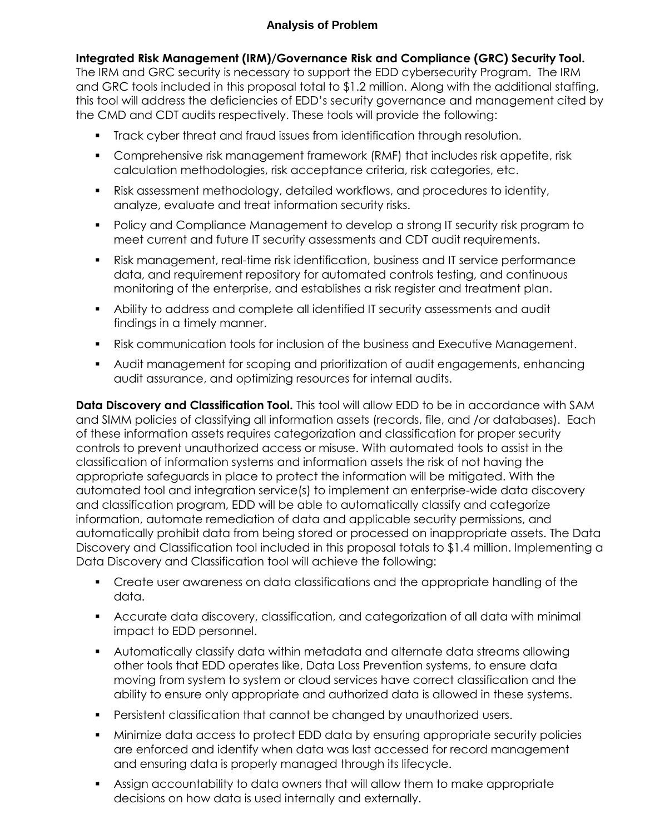#### **Integrated Risk Management (IRM)/Governance Risk and Compliance (GRC) Security Tool.**

 The IRM and GRC security is necessary to support the EDD cybersecurity Program. The IRM and GRC tools included in this proposal total to \$1.2 million. Along with the additional staffing, this tool will address the deficiencies of EDD's security governance and management cited by the CMD and CDT audits respectively. These tools will provide the following:

- Track cyber threat and fraud issues from identification through resolution.
- Comprehensive risk management framework (RMF) that includes risk appetite, risk calculation methodologies, risk acceptance criteria, risk categories, etc.
- analyze, evaluate and treat information security risks. Risk assessment methodology, detailed workflows, and procedures to identity,
- **Policy and Compliance Management to develop a strong IT security risk program to** meet current and future IT security assessments and CDT audit requirements.
- Risk management, real-time risk identification, business and IT service performance data, and requirement repository for automated controls testing, and continuous monitoring of the enterprise, and establishes a risk register and treatment plan.
- Ability to address and complete all identified IT security assessments and audit findings in a timely manner.
- Risk communication tools for inclusion of the business and Executive Management.
- audit assurance, and optimizing resources for internal audits. Audit management for scoping and prioritization of audit engagements, enhancing

 **Data Discovery and Classification Tool.** This tool will allow EDD to be in accordance with SAM and SIMM policies of classifying all information assets (records, file, and /or databases). Each of these information assets requires categorization and classification for proper security controls to prevent unauthorized access or misuse. With automated tools to assist in the classification of information systems and information assets the risk of not having the appropriate safeguards in place to protect the information will be mitigated. With the and classification program, EDD will be able to automatically classify and categorize Discovery and Classification tool included in this proposal totals to \$1.4 million. Implementing a Data Discovery and Classification tool will achieve the following: automated tool and integration service(s) to implement an enterprise-wide data discovery information, automate remediation of data and applicable security permissions, and automatically prohibit data from being stored or processed on inappropriate assets. The Data

- Create user awareness on data classifications and the appropriate handling of the data.
- Accurate data discovery, classification, and categorization of all data with minimal impact to EDD personnel.
- other tools that EDD operates like, Data Loss Prevention systems, to ensure data moving from system to system or cloud services have correct classification and the ability to ensure only appropriate and authorized data is allowed in these systems. Automatically classify data within metadata and alternate data streams allowing
- Persistent classification that cannot be changed by unauthorized users.
- Minimize data access to protect EDD data by ensuring appropriate security policies are enforced and identify when data was last accessed for record management and ensuring data is properly managed through its lifecycle.
- Assign accountability to data owners that will allow them to make appropriate decisions on how data is used internally and externally.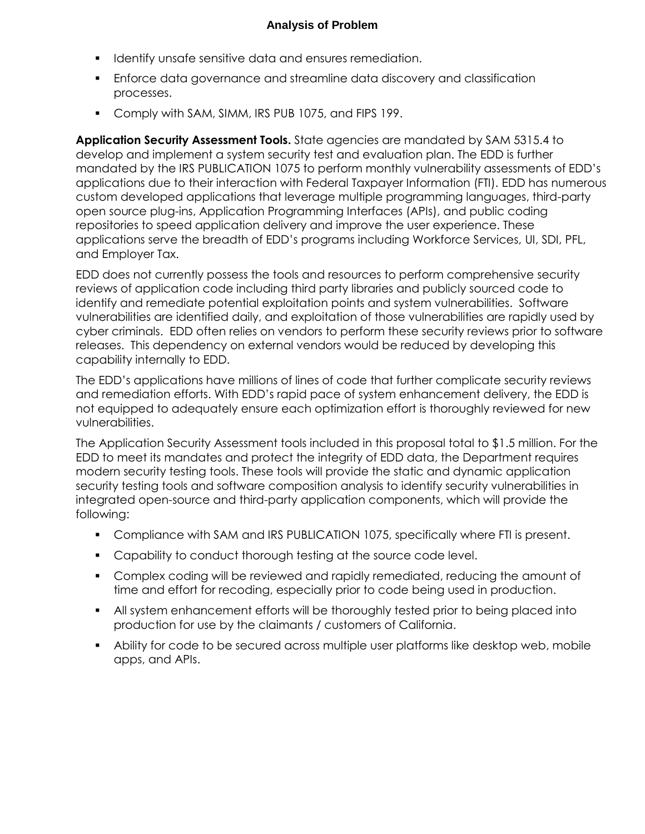- **IDENTIFY UNITE:** 1 dentify unsafe sensitive data and ensures remediation.
- Enforce data governance and streamline data discovery and classification processes.
- **Comply with SAM, SIMM, IRS PUB 1075, and FIPS 199.**

 **Application Security Assessment Tools.** State agencies are mandated by SAM 5315.4 to develop and implement a system security test and evaluation plan. The EDD is further applications due to their interaction with Federal Taxpayer Information (FTI). EDD has numerous open source plug-ins, Application Programming Interfaces (APIs), and public coding repositories to speed application delivery and improve the user experience. These and Employer Tax. mandated by the IRS PUBLICATION 1075 to perform monthly vulnerability assessments of EDD's custom developed applications that leverage multiple programming languages, third-party applications serve the breadth of EDD's programs including Workforce Services, UI, SDI, PFL,

 EDD does not currently possess the tools and resources to perform comprehensive security reviews of application code including third party libraries and publicly sourced code to identify and remediate potential exploitation points and system vulnerabilities. Software vulnerabilities are identified daily, and exploitation of those vulnerabilities are rapidly used by cyber criminals. EDD often relies on vendors to perform these security reviews prior to software releases. This dependency on external vendors would be reduced by developing this capability internally to EDD.

 The EDD's applications have millions of lines of code that further complicate security reviews and remediation efforts. With EDD's rapid pace of system enhancement delivery, the EDD is not equipped to adequately ensure each optimization effort is thoroughly reviewed for new vulnerabilities.

 The Application Security Assessment tools included in this proposal total to \$1.5 million. For the EDD to meet its mandates and protect the integrity of EDD data, the Department requires modern security testing tools. These tools will provide the static and dynamic application security testing tools and software composition analysis to identify security vulnerabilities in integrated open-source and third-party application components, which will provide the following:

- **Compliance with SAM and IRS PUBLICATION 1075, specifically where FTI is present.**
- **Capability to conduct thorough testing at the source code level.**
- time and effort for recoding, especially prior to code being used in production. Complex coding will be reviewed and rapidly remediated, reducing the amount of
- All system enhancement efforts will be thoroughly tested prior to being placed into production for use by the claimants / customers of California.
- Ability for code to be secured across multiple user platforms like desktop web, mobile apps, and APIs.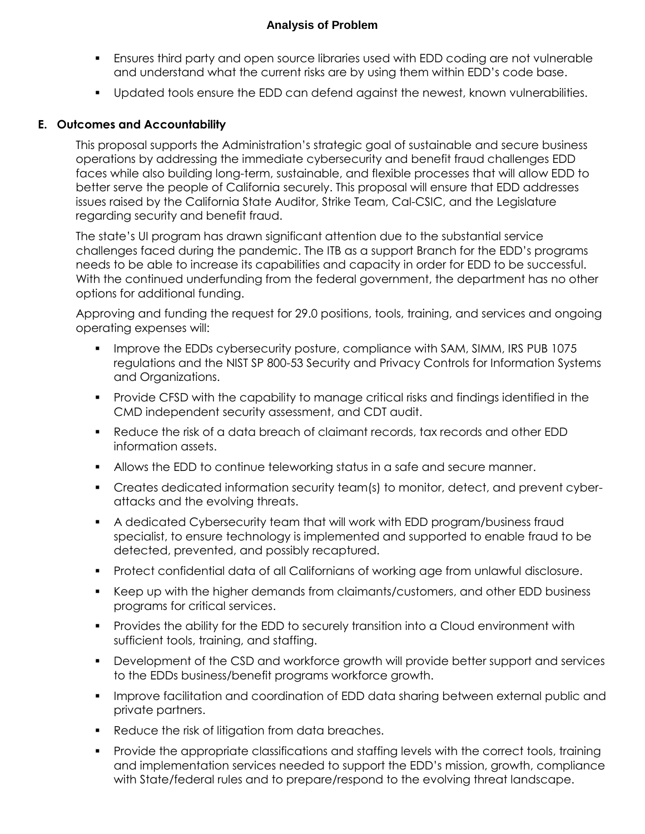- Ensures third party and open source libraries used with EDD coding are not vulnerable and understand what the current risks are by using them within EDD's code base.
- Updated tools ensure the EDD can defend against the newest, known vulnerabilities.

#### **E. Outcomes and Accountability**

 This proposal supports the Administration's strategic goal of sustainable and secure business operations by addressing the immediate cybersecurity and benefit fraud challenges EDD faces while also building long-term, sustainable, and flexible processes that will allow EDD to better serve the people of California securely. This proposal will ensure that EDD addresses regarding security and benefit fraud. issues raised by the California State Auditor, Strike Team, Cal-CSIC, and the Legislature

 The state's UI program has drawn significant attention due to the substantial service challenges faced during the pandemic. The ITB as a support Branch for the EDD's programs needs to be able to increase its capabilities and capacity in order for EDD to be successful. With the continued underfunding from the federal government, the department has no other options for additional funding.

 Approving and funding the request for 29.0 positions, tools, training, and services and ongoing operating expenses will:

- **IMPROVE the EDDs cybersecurity posture, compliance with SAM, SIMM, IRS PUB 1075**  regulations and the NIST SP 800-53 Security and Privacy Controls for Information Systems and Organizations.
- Provide CFSD with the capability to manage critical risks and findings identified in the CMD independent security assessment, and CDT audit.
- Reduce the risk of a data breach of claimant records, tax records and other EDD information assets.
- Allows the EDD to continue teleworking status in a safe and secure manner.
- Creates dedicated information security team(s) to monitor, detect, and prevent cyberattacks and the evolving threats.
- A dedicated Cybersecurity team that will work with EDD program/business fraud specialist, to ensure technology is implemented and supported to enable fraud to be detected, prevented, and possibly recaptured.
- **Protect confidential data of all Californians of working age from unlawful disclosure.**
- Keep up with the higher demands from claimants/customers, and other EDD business programs for critical services.
- Provides the ability for the EDD to securely transition into a Cloud environment with sufficient tools, training, and staffing.
- **Development of the CSD and workforce growth will provide better support and services** to the EDDs business/benefit programs workforce growth.
- **IMPROVE facilitation and coordination of EDD data sharing between external public and** private partners.
- **Reduce the risk of litigation from data breaches.**
- **Provide the appropriate classifications and staffing levels with the correct tools, training**  and implementation services needed to support the EDD's mission, growth, compliance with State/federal rules and to prepare/respond to the evolving threat landscape.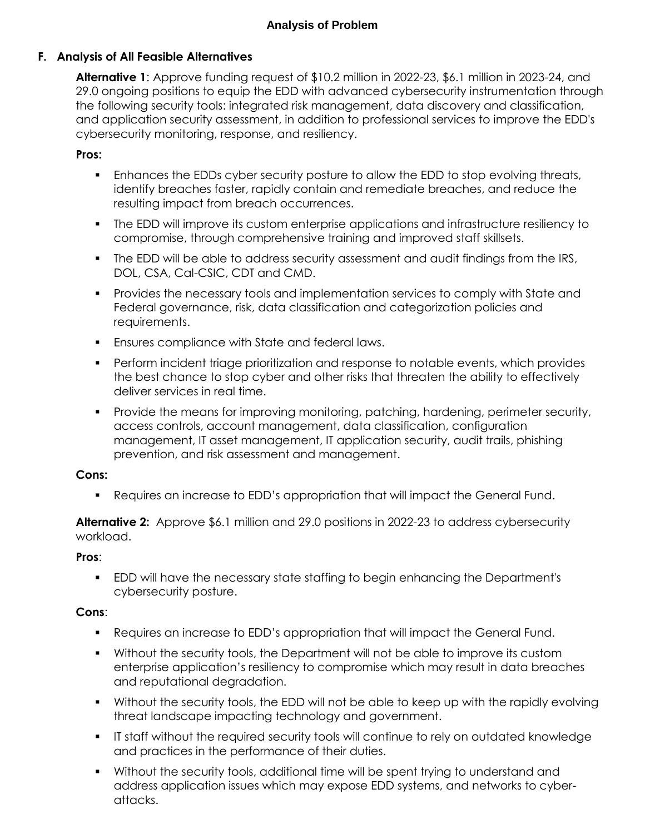#### **F. Analysis of All Feasible Alternatives**

 **Alternative 1**: Approve funding request of \$10.2 million in 2022-23, \$6.1 million in 2023-24, and 29.0 ongoing positions to equip the EDD with advanced cybersecurity instrumentation through the following security tools: integrated risk management, data discovery and classification, and application security assessment, in addition to professional services to improve the EDD's cybersecurity monitoring, response, and resiliency.

#### **Pros:**

- Enhances the EDDs cyber security posture to allow the EDD to stop evolving threats, identify breaches faster, rapidly contain and remediate breaches, and reduce the resulting impact from breach occurrences.
- The EDD will improve its custom enterprise applications and infrastructure resiliency to compromise, through comprehensive training and improved staff skillsets.
- **The EDD will be able to address security assessment and audit findings from the IRS,** DOL, CSA, Cal-CSIC, CDT and CMD.
- Provides the necessary tools and implementation services to comply with State and Federal governance, risk, data classification and categorization policies and requirements.
- **Ensures compliance with State and federal laws.**
- the best chance to stop cyber and other risks that threaten the ability to effectively deliver services in real time. Perform incident triage prioritization and response to notable events, which provides
- **Provide the means for improving monitoring, patching, hardening, perimeter security,**  access controls, account management, data classification, configuration management, IT asset management, IT application security, audit trails, phishing prevention, and risk assessment and management.

#### **Cons:**

Requires an increase to EDD's appropriation that will impact the General Fund.

**Alternative 2:** Approve \$6.1 million and 29.0 positions in 2022-23 to address cybersecurity workload.

#### **Pros**:

 EDD will have the necessary state staffing to begin enhancing the Department's cybersecurity posture.

#### **Cons**:

- Requires an increase to EDD's appropriation that will impact the General Fund.
- Without the security tools, the Department will not be able to improve its custom enterprise application's resiliency to compromise which may result in data breaches and reputational degradation.
- Without the security tools, the EDD will not be able to keep up with the rapidly evolving threat landscape impacting technology and government.
- IT staff without the required security tools will continue to rely on outdated knowledge and practices in the performance of their duties.
- Without the security tools, additional time will be spent trying to understand and address application issues which may expose EDD systems, and networks to cyberattacks.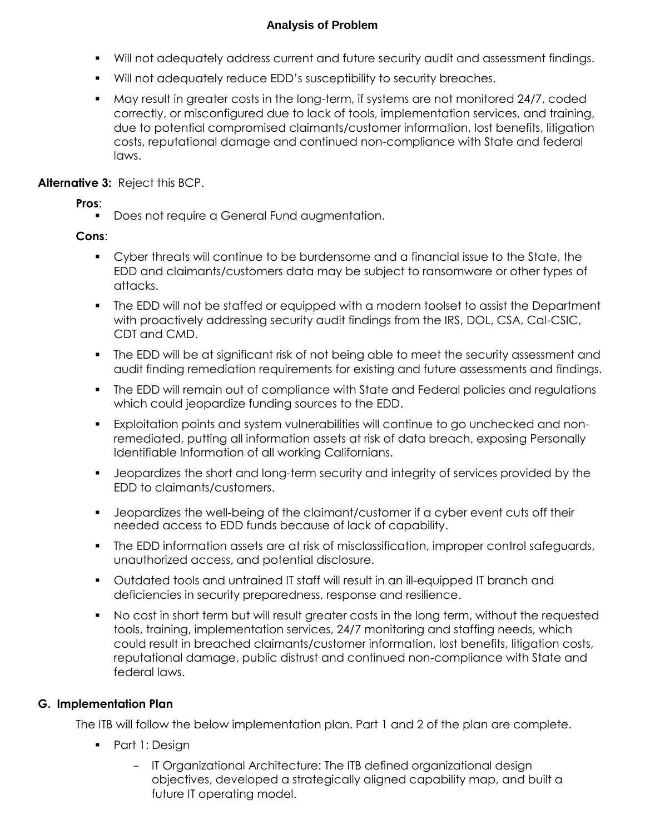- Will not adequately address current and future security audit and assessment findings.
- Will not adequately reduce EDD's susceptibility to security breaches.
- May result in greater costs in the long-term, if systems are not monitored 24/7, coded costs, reputational damage and continued non-compliance with State and federal correctly, or misconfigured due to lack of tools, implementation services, and training, due to potential compromised claimants/customer information, lost benefits, litigation laws.

#### **Alternative 3:** Reject this BCP.

**Pros**:

**Does not require a General Fund augmentation.** 

#### **Cons**:

- Cyber threats will continue to be burdensome and a financial issue to the State, the EDD and claimants/customers data may be subject to ransomware or other types of attacks.
- The EDD will not be staffed or equipped with a modern toolset to assist the Department with proactively addressing security audit findings from the IRS, DOL, CSA, Cal-CSIC, CDT and CMD.
- The EDD will be at significant risk of not being able to meet the security assessment and audit finding remediation requirements for existing and future assessments and findings.
- **The EDD will remain out of compliance with State and Federal policies and regulations** which could jeopardize funding sources to the EDD.
- Exploitation points and system vulnerabilities will continue to go unchecked and non- remediated, putting all information assets at risk of data breach, exposing Personally Identifiable Information of all working Californians.
- Jeopardizes the short and long-term security and integrity of services provided by the EDD to claimants/customers.
- Jeopardizes the well-being of the claimant/customer if a cyber event cuts off their needed access to EDD funds because of lack of capability.
- The EDD information assets are at risk of misclassification, improper control safeguards, unauthorized access, and potential disclosure.
- deficiencies in security preparedness, response and resilience. Outdated tools and untrained IT staff will result in an ill-equipped IT branch and
- No cost in short term but will result greater costs in the long term, without the requested tools, training, implementation services, 24/7 monitoring and staffing needs, which could result in breached claimants/customer information, lost benefits, litigation costs, reputational damage, public distrust and continued non-compliance with State and federal laws.

#### **G. Implementation Plan**

The ITB will follow the below implementation plan. Part 1 and 2 of the plan are complete.

- Part 1: Design
	- objectives, developed a strategically aligned capability map, and built a IT Organizational Architecture: The ITB defined organizational design future IT operating model.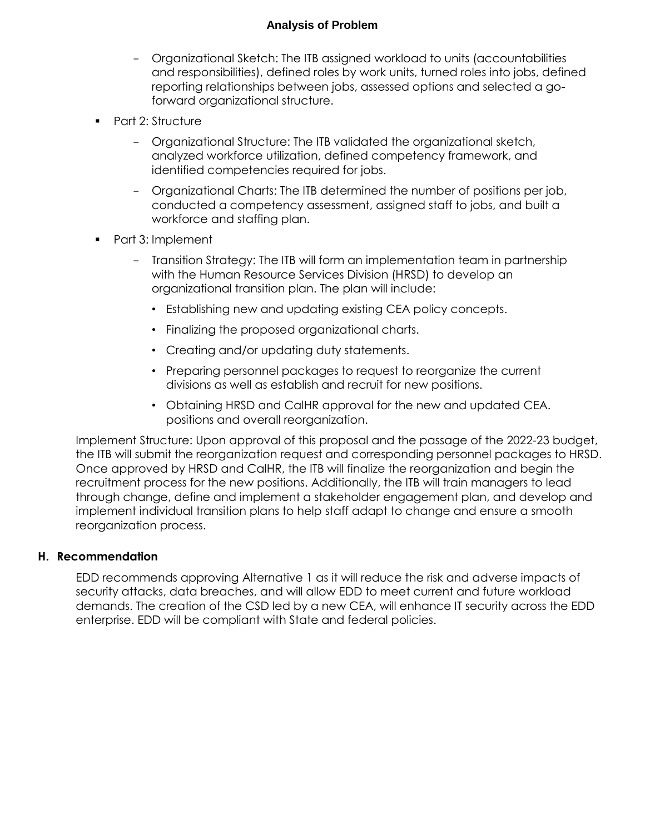- - Organizational Sketch: The ITB assigned workload to units (accountabilities and responsibilities), defined roles by work units, turned roles into jobs, defined reporting relationships between jobs, assessed options and selected a goforward organizational structure.
- **Part 2: Structure** 
	- - Organizational Structure: The ITB validated the organizational sketch, analyzed workforce utilization, defined competency framework, and identified competencies required for jobs.
	- - Organizational Charts: The ITB determined the number of positions per job, conducted a competency assessment, assigned staff to jobs, and built a workforce and staffing plan.
- Part 3: Implement
	- - Transition Strategy: The ITB will form an implementation team in partnership with the Human Resource Services Division (HRSD) to develop an organizational transition plan. The plan will include:
		- Establishing new and updating existing CEA policy concepts.
		- Finalizing the proposed organizational charts.
		- Creating and/or updating duty statements.
		- • Preparing personnel packages to request to reorganize the current divisions as well as establish and recruit for new positions.
		- • Obtaining HRSD and CalHR approval for the new and updated CEA. positions and overall reorganization.

 Implement Structure: Upon approval of this proposal and the passage of the 2022-23 budget, the ITB will submit the reorganization request and corresponding personnel packages to HRSD. Once approved by HRSD and CalHR, the ITB will finalize the reorganization and begin the recruitment process for the new positions. Additionally, the ITB will train managers to lead through change, define and implement a stakeholder engagement plan, and develop and implement individual transition plans to help staff adapt to change and ensure a smooth reorganization process.

#### **H. Recommendation**

 EDD recommends approving Alternative 1 as it will reduce the risk and adverse impacts of security attacks, data breaches, and will allow EDD to meet current and future workload demands. The creation of the CSD led by a new CEA, will enhance IT security across the EDD enterprise. EDD will be compliant with State and federal policies.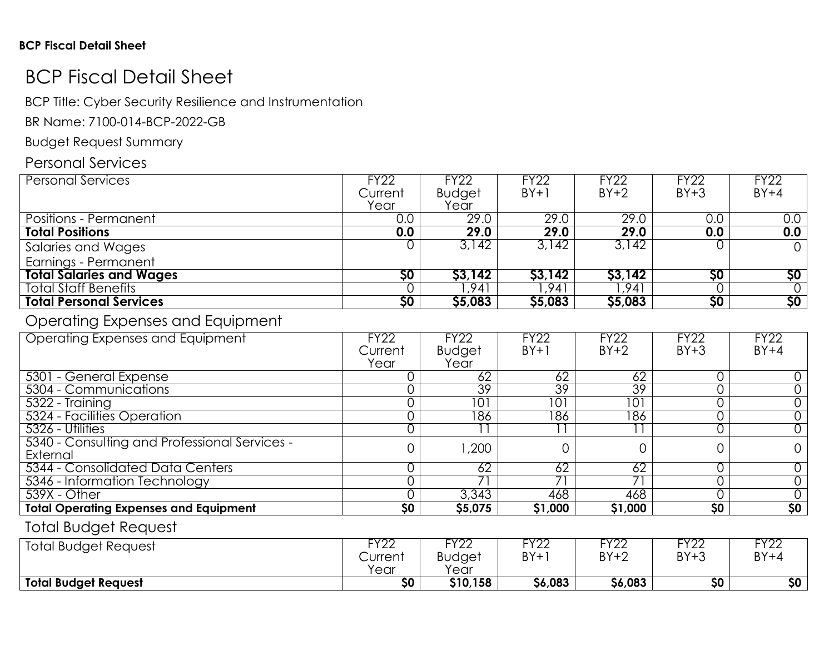# BCP Fiscal Detail Sheet

BCP Title: Cyber Security Resilience and Instrumentation

BR Name: 7100-014-BCP-2022-GB

Budget Request Summary

## Personal Services

| <b>Personal Services</b>        | <b>FY22</b> | <b>FY22</b>   | <b>FY22</b> | <b>FY22</b> | <b>FY22</b>     | <b>FY22</b> |
|---------------------------------|-------------|---------------|-------------|-------------|-----------------|-------------|
|                                 | Current     | <b>Budget</b> | $BY+1$      | $BY+2$      | $BY+3$          | $BY+4$      |
|                                 | Year        | Year          |             |             |                 |             |
| <b>Positions - Permanent</b>    | 0.0         | 29.0          | 29.0        | 29.0        | 0.0             | 0.0         |
| <b>Total Positions</b>          | 0.0         | 29.0          | 29.0        | 29.0        | 0.0             | 0.0         |
| Salaries and Wages              |             | 3.142         | 3,142       | 3,142       |                 |             |
| Earnings - Permanent            |             |               |             |             |                 |             |
| <b>Total Salaries and Wages</b> | \$0         | \$3,142       | \$3,142     | \$3,142     | \$0             | \$0\$       |
| <b>Total Staff Benefits</b>     |             | ,941          | 941,        | ,941        |                 |             |
| <b>Total Personal Services</b>  | \$0         | \$5,083       | \$5,083     | \$5,083     | $\overline{50}$ | \$0\$       |

### Operating Expenses and Equipment

| Operating Expenses and Equipment              | <b>FY22</b>     | <b>FY22</b>   | <b>FY22</b>     | <b>FY22</b>     | <b>FY22</b>     | <b>FY22</b> |
|-----------------------------------------------|-----------------|---------------|-----------------|-----------------|-----------------|-------------|
|                                               | Current         | <b>Budget</b> | $BY+1$          | $BY+2$          | $BY+3$          | $BY+4$      |
|                                               | Year            | Year          |                 |                 |                 |             |
| 5301 - General Expense                        |                 | 62            | 62              | 62              |                 |             |
| 5304 - Communications                         |                 | 39            | 39              | 39              |                 |             |
| 5322 - Training                               |                 | 101           | 101             | $10^{\circ}$    |                 |             |
| 5324 - Facilities Operation                   |                 | 186           | 86              | 186             |                 |             |
| 5326 - Utilities                              |                 |               |                 |                 |                 |             |
| 5340 - Consulting and Professional Services - |                 | ,200          |                 |                 |                 |             |
| External                                      |                 |               |                 |                 |                 |             |
| 5344 - Consolidated Data Centers              |                 | 62            | $\overline{62}$ | $\overline{62}$ |                 |             |
| 5346 - Information Technology                 |                 |               |                 |                 |                 |             |
| 539X - Other                                  |                 | 3,343         | 468             | 468             |                 |             |
| <b>Total Operating Expenses and Equipment</b> | $\overline{50}$ | \$5,075       | \$1,000         | \$1,000         | $\overline{50}$ | 50          |

### Total Budget Request

| <b>Total Budget Request</b> | EVOO<br>LL<br>Current<br>Year | $\sqrt{2}$<br>∠∠<br>Budget<br>Year | $T\vee$<br>77<br>$RY +$<br>י ט | $T\vee$<br>∠∠<br>$RVI^0$<br>ÐΙ | rvoc<br>▎∠∠<br>$BY+3$<br>، ب | rvoc<br>$\overline{L}$<br>BY+ |
|-----------------------------|-------------------------------|------------------------------------|--------------------------------|--------------------------------|------------------------------|-------------------------------|
| <b>Total Budget Request</b> | \$0                           | \$10,158                           | \$6,083                        | \$6,083                        | \$0                          | \$0                           |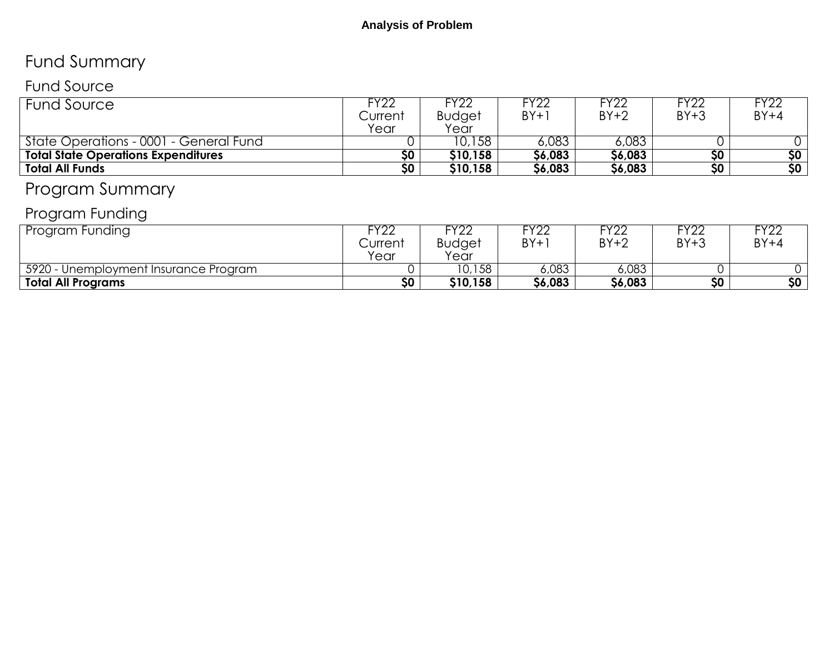# Fund Summary

## Fund Source

| <b>Fund Source</b>                         | ™22ء<br>Current<br>Year | <sup>-</sup> Y22<br><b>Budget</b><br>Year | Y22<br>$BY+1$ | <b>FY22</b><br>$BY+2$ | FY22<br>$BY+3$  | <b>FY22</b><br>$BY+4$ |
|--------------------------------------------|-------------------------|-------------------------------------------|---------------|-----------------------|-----------------|-----------------------|
| State Operations - 0001 - General Fund     |                         | 10,158                                    | 6,083         | 6,083                 |                 |                       |
| <b>Total State Operations Expenditures</b> | 50 <sub>2</sub>         | \$10,158                                  | \$6,083       | \$6,083               | \$0             | \$0                   |
| <b>Total All Funds</b>                     | 50 <sub>2</sub>         | \$10,158                                  | \$6,083       | \$6,083               | 50 <sub>2</sub> | $\overline{50}$       |
|                                            |                         |                                           |               |                       |                 |                       |

# Program Summary

# Program Funding

| Program Funding                       | ⊑∨∩r<br>Current<br>Year | rvoc<br><b>LL</b><br><b>Budget</b><br>Year | <b>LINU</b><br>BY+1 | FY22<br>$BY+2$ | FY22<br>$BY+3$ | rvor<br>$BY+4$ |
|---------------------------------------|-------------------------|--------------------------------------------|---------------------|----------------|----------------|----------------|
| 5920 - Unemployment Insurance Program |                         | 10,158                                     | 6,083               | 6,083          |                |                |
| Total All Programs                    | \$0                     | \$10,158                                   | \$6,083             | \$6,083        | \$0            | \$0            |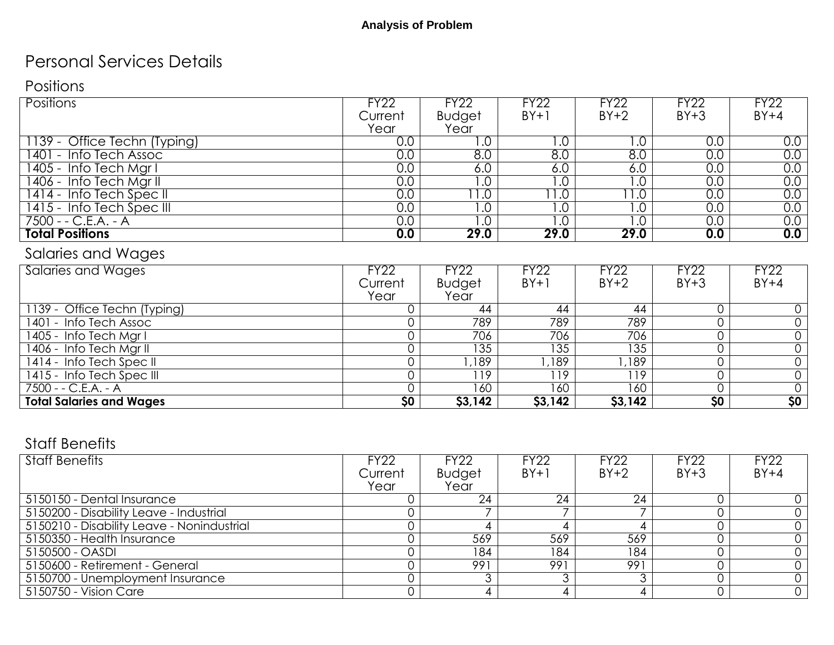## Personal Services Details

### **Positions**

| <b>Positions</b>             | <b>FY22</b> | <b>FY22</b>      | <b>FY22</b>      | <b>FY22</b> | <b>FY22</b>    | <b>FY22</b> |
|------------------------------|-------------|------------------|------------------|-------------|----------------|-------------|
|                              | Current     | <b>Budget</b>    | $BY+1$           | $BY+2$      | $BY+3$         | $BY+4$      |
|                              | Year        | Year             |                  |             |                |             |
| 1139 - Office Techn (Typing) | 0.0         | .0               | $\cdot$ .0       | .0          | 0.0            | 0.0         |
| 1401 - Info Tech Assoc       | 0.0         | $\overline{8.0}$ | 8.0              | 0.8         | 0.0            | 0.0         |
| 1405 - Info Tech Mgr I       | 0.0         | 6.0              | 6.0              | 6.0         | 0.0            | 0.0         |
| 1406 - Info Tech Mgr II      | 0.0         | 0.1              | $\overline{0}$ . | .0          | 0.0            | 0.0         |
| 1414 - Info Tech Spec II     | 0.0         | 1.0              | $\overline{1.0}$ | 1.0         | 0.0            | 0.0         |
| 1415 - Info Tech Spec III    | 0.0         | $\overline{0}$ . | $\overline{0}$ . | .0          | 0.0            | 0.0         |
| 7500 - - C.E.A. - A          | 0.0         | $\overline{0}$ . | $\overline{0}$ . | .0          | 0.0            | 0.0         |
| <b>Total Positions</b>       | 0.0         | 29.0             | 29.0             | 29.0        | 0.0            | 0.0         |
| Salaries and Wages           |             |                  |                  |             |                |             |
| Salaries and Wages           | <b>FY22</b> | FY22             | <b>FY22</b>      | <b>FY22</b> | <b>FY22</b>    | <b>FY22</b> |
|                              | Current     | <b>Budget</b>    | $BY+1$           | $BY+2$      | $BY+3$         | $BY+4$      |
|                              | Year        | Year             |                  |             |                |             |
| 1139 - Office Techn (Typing) |             | 44               | 44               | 44          | $\overline{0}$ |             |
| 1401 - Info Tech Assoc       |             | 789              | 789              | 789         | 0              |             |

1406 - Info Tech Mgr II 0 | 135 | 135 | 135 | 0 | 0

1414 - Info Tech Spec II 0 | 1,189 | 1,189 | 1,189 | 0 | 0 1415 - Info Tech Spec III 0 | 119 | 119 | 0 | 0 |

**Total Salaries and Wages** \$0 \$3,142 \$3,142 \$3,142 \$3,142 \$0 \$0 \$0

- A 0 | 160 | 160 | 160 | 0 | 0

1405 - Info Tech Mgr I 0 706 706 706 0 0

### Staff Benefits

7500 - - C.E.A.

| <b>Staff Benefits</b>                      | FY22    | <b>FY22</b>   | <b>FY22</b> | <b>FY22</b> | <b>FY22</b> | <b>FY22</b> |
|--------------------------------------------|---------|---------------|-------------|-------------|-------------|-------------|
|                                            | Current | <b>Budget</b> | $BY+1$      | $BY+2$      | $BY+3$      | $BY+4$      |
|                                            | Year    | Year          |             |             |             |             |
| 5150150 - Dental Insurance                 |         | 24            | 24          | 24          |             |             |
| 5150200 - Disability Leave - Industrial    |         |               |             |             |             |             |
| 5150210 - Disability Leave - Nonindustrial |         |               |             |             |             |             |
| 5150350 - Health Insurance                 |         | 569           | 569         | 569         |             |             |
| 5150500 - OASDI                            |         | 184           | 184         | 184         |             |             |
| 5150600 - Retirement - General             |         | 991           | 991         | 991         |             |             |
| 5150700 - Unemployment Insurance           |         | ◠             |             |             |             |             |
| 5150750 - Vision Care                      |         |               |             |             |             |             |